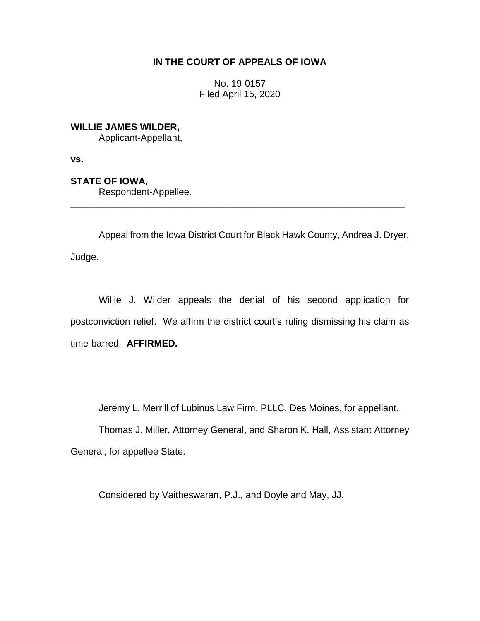## **IN THE COURT OF APPEALS OF IOWA**

No. 19-0157 Filed April 15, 2020

**WILLIE JAMES WILDER,**

Applicant-Appellant,

**vs.**

**STATE OF IOWA,**

Respondent-Appellee.

Appeal from the Iowa District Court for Black Hawk County, Andrea J. Dryer, Judge.

\_\_\_\_\_\_\_\_\_\_\_\_\_\_\_\_\_\_\_\_\_\_\_\_\_\_\_\_\_\_\_\_\_\_\_\_\_\_\_\_\_\_\_\_\_\_\_\_\_\_\_\_\_\_\_\_\_\_\_\_\_\_\_\_

Willie J. Wilder appeals the denial of his second application for postconviction relief. We affirm the district court's ruling dismissing his claim as time-barred. **AFFIRMED.**

Jeremy L. Merrill of Lubinus Law Firm, PLLC, Des Moines, for appellant.

Thomas J. Miller, Attorney General, and Sharon K. Hall, Assistant Attorney General, for appellee State.

Considered by Vaitheswaran, P.J., and Doyle and May, JJ.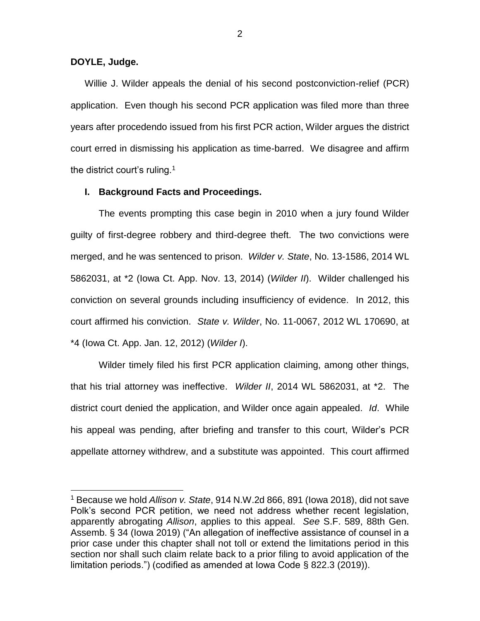## **DOYLE, Judge.**

 $\overline{a}$ 

Willie J. Wilder appeals the denial of his second postconviction-relief (PCR) application. Even though his second PCR application was filed more than three years after procedendo issued from his first PCR action, Wilder argues the district court erred in dismissing his application as time-barred. We disagree and affirm the district court's ruling.<sup>1</sup>

### **I. Background Facts and Proceedings.**

The events prompting this case begin in 2010 when a jury found Wilder guilty of first-degree robbery and third-degree theft. The two convictions were merged, and he was sentenced to prison. *Wilder v. State*, No. 13-1586, 2014 WL 5862031, at \*2 (Iowa Ct. App. Nov. 13, 2014) (*Wilder II*). Wilder challenged his conviction on several grounds including insufficiency of evidence. In 2012, this court affirmed his conviction. *State v. Wilder*, No. 11-0067, 2012 WL 170690, at \*4 (Iowa Ct. App. Jan. 12, 2012) (*Wilder I*).

Wilder timely filed his first PCR application claiming, among other things, that his trial attorney was ineffective. *Wilder II*, 2014 WL 5862031, at \*2. The district court denied the application, and Wilder once again appealed. *Id*. While his appeal was pending, after briefing and transfer to this court, Wilder's PCR appellate attorney withdrew, and a substitute was appointed. This court affirmed

<sup>1</sup> Because we hold *Allison v. State*, 914 N.W.2d 866, 891 (Iowa 2018), did not save Polk's second PCR petition, we need not address whether recent legislation, apparently abrogating *Allison*, applies to this appeal. *See* S.F. 589, 88th Gen. Assemb. § 34 (Iowa 2019) ("An allegation of ineffective assistance of counsel in a prior case under this chapter shall not toll or extend the limitations period in this section nor shall such claim relate back to a prior filing to avoid application of the limitation periods.") (codified as amended at Iowa Code § 822.3 (2019)).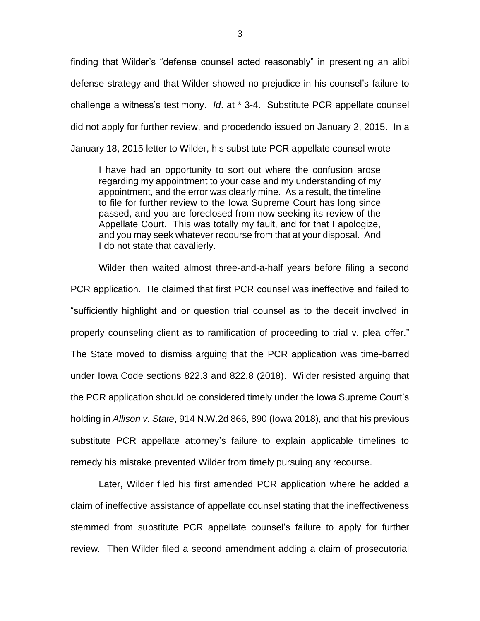finding that Wilder's "defense counsel acted reasonably" in presenting an alibi defense strategy and that Wilder showed no prejudice in his counsel's failure to challenge a witness's testimony. *Id*. at \* 3-4. Substitute PCR appellate counsel did not apply for further review, and procedendo issued on January 2, 2015. In a January 18, 2015 letter to Wilder, his substitute PCR appellate counsel wrote

I have had an opportunity to sort out where the confusion arose regarding my appointment to your case and my understanding of my appointment, and the error was clearly mine. As a result, the timeline to file for further review to the Iowa Supreme Court has long since passed, and you are foreclosed from now seeking its review of the Appellate Court. This was totally my fault, and for that I apologize, and you may seek whatever recourse from that at your disposal. And I do not state that cavalierly.

Wilder then waited almost three-and-a-half years before filing a second PCR application. He claimed that first PCR counsel was ineffective and failed to "sufficiently highlight and or question trial counsel as to the deceit involved in properly counseling client as to ramification of proceeding to trial v. plea offer." The State moved to dismiss arguing that the PCR application was time-barred under Iowa Code sections 822.3 and 822.8 (2018). Wilder resisted arguing that the PCR application should be considered timely under the Iowa Supreme Court's holding in *Allison v. State*, 914 N.W.2d 866, 890 (Iowa 2018), and that his previous substitute PCR appellate attorney's failure to explain applicable timelines to remedy his mistake prevented Wilder from timely pursuing any recourse.

Later, Wilder filed his first amended PCR application where he added a claim of ineffective assistance of appellate counsel stating that the ineffectiveness stemmed from substitute PCR appellate counsel's failure to apply for further review. Then Wilder filed a second amendment adding a claim of prosecutorial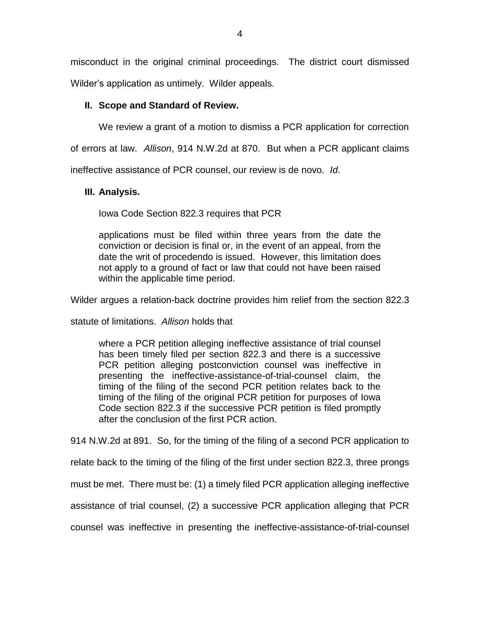misconduct in the original criminal proceedings. The district court dismissed

Wilder's application as untimely. Wilder appeals.

# **II. Scope and Standard of Review.**

We review a grant of a motion to dismiss a PCR application for correction

of errors at law. *Allison*, 914 N.W.2d at 870. But when a PCR applicant claims

ineffective assistance of PCR counsel, our review is de novo. *Id*.

# **III. Analysis.**

Iowa Code Section 822.3 requires that PCR

applications must be filed within three years from the date the conviction or decision is final or, in the event of an appeal, from the date the writ of procedendo is issued. However, this limitation does not apply to a ground of fact or law that could not have been raised within the applicable time period.

Wilder argues a relation-back doctrine provides him relief from the section 822.3

statute of limitations. *Allison* holds that

where a PCR petition alleging ineffective assistance of trial counsel has been timely filed per section 822.3 and there is a successive PCR petition alleging postconviction counsel was ineffective in presenting the ineffective-assistance-of-trial-counsel claim, the timing of the filing of the second PCR petition relates back to the timing of the filing of the original PCR petition for purposes of Iowa Code section 822.3 if the successive PCR petition is filed promptly after the conclusion of the first PCR action.

914 N.W.2d at 891. So, for the timing of the filing of a second PCR application to

relate back to the timing of the filing of the first under section 822.3, three prongs

must be met. There must be: (1) a timely filed PCR application alleging ineffective

assistance of trial counsel, (2) a successive PCR application alleging that PCR

counsel was ineffective in presenting the ineffective-assistance-of-trial-counsel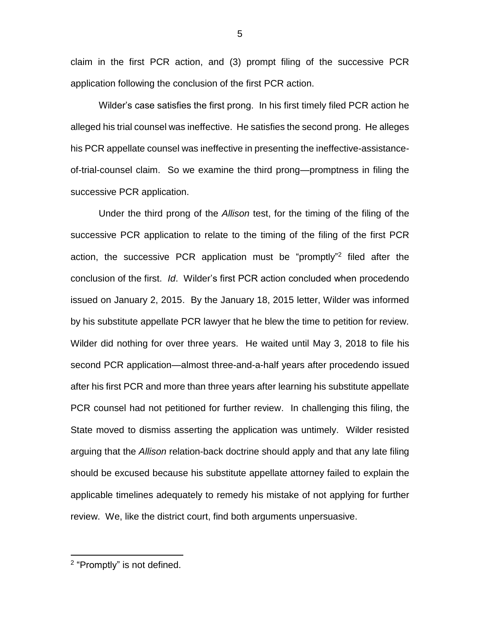claim in the first PCR action, and (3) prompt filing of the successive PCR application following the conclusion of the first PCR action.

Wilder's case satisfies the first prong. In his first timely filed PCR action he alleged his trial counsel was ineffective. He satisfies the second prong. He alleges his PCR appellate counsel was ineffective in presenting the ineffective-assistanceof-trial-counsel claim. So we examine the third prong—promptness in filing the successive PCR application.

Under the third prong of the *Allison* test, for the timing of the filing of the successive PCR application to relate to the timing of the filing of the first PCR action, the successive PCR application must be "promptly" 2 filed after the conclusion of the first. *Id*. Wilder's first PCR action concluded when procedendo issued on January 2, 2015. By the January 18, 2015 letter, Wilder was informed by his substitute appellate PCR lawyer that he blew the time to petition for review. Wilder did nothing for over three years. He waited until May 3, 2018 to file his second PCR application—almost three-and-a-half years after procedendo issued after his first PCR and more than three years after learning his substitute appellate PCR counsel had not petitioned for further review. In challenging this filing, the State moved to dismiss asserting the application was untimely. Wilder resisted arguing that the *Allison* relation-back doctrine should apply and that any late filing should be excused because his substitute appellate attorney failed to explain the applicable timelines adequately to remedy his mistake of not applying for further review. We, like the district court, find both arguments unpersuasive.

 $\overline{a}$ 

<sup>&</sup>lt;sup>2</sup> "Promptly" is not defined.